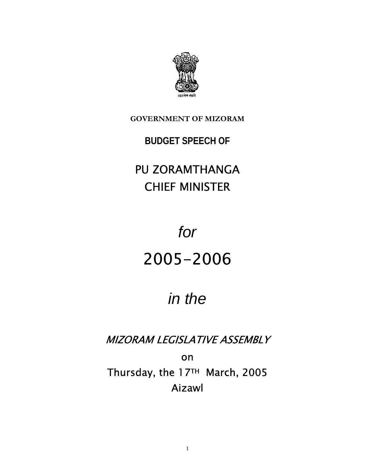

**GOVERNMENT OF MIZORAM**

### **BUDGET SPEECH OF**

## PU ZORAMTHANGA CHIEF MINISTER

# *for*  2005-2006

## *in the*

MIZORAM LEGISLATIVE ASSEMBLY

on Thursday, the 17TH March, 2005 Aizawl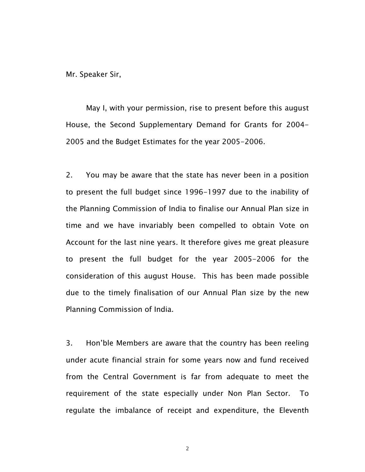Mr. Speaker Sir,

 May I, with your permission, rise to present before this august House, the Second Supplementary Demand for Grants for 2004- 2005 and the Budget Estimates for the year 2005-2006.

2. You may be aware that the state has never been in a position to present the full budget since 1996-1997 due to the inability of the Planning Commission of India to finalise our Annual Plan size in time and we have invariably been compelled to obtain Vote on Account for the last nine years. It therefore gives me great pleasure to present the full budget for the year 2005-2006 for the consideration of this august House. This has been made possible due to the timely finalisation of our Annual Plan size by the new Planning Commission of India.

3. Hon'ble Members are aware that the country has been reeling under acute financial strain for some years now and fund received from the Central Government is far from adequate to meet the requirement of the state especially under Non Plan Sector. To regulate the imbalance of receipt and expenditure, the Eleventh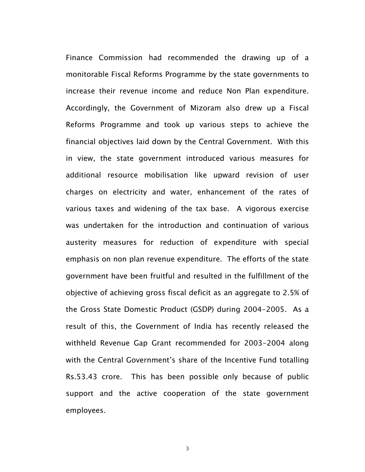Finance Commission had recommended the drawing up of a monitorable Fiscal Reforms Programme by the state governments to increase their revenue income and reduce Non Plan expenditure. Accordingly, the Government of Mizoram also drew up a Fiscal Reforms Programme and took up various steps to achieve the financial objectives laid down by the Central Government. With this in view, the state government introduced various measures for additional resource mobilisation like upward revision of user charges on electricity and water, enhancement of the rates of various taxes and widening of the tax base. A vigorous exercise was undertaken for the introduction and continuation of various austerity measures for reduction of expenditure with special emphasis on non plan revenue expenditure. The efforts of the state government have been fruitful and resulted in the fulfillment of the objective of achieving gross fiscal deficit as an aggregate to 2.5% of the Gross State Domestic Product (GSDP) during 2004-2005. As a result of this, the Government of India has recently released the withheld Revenue Gap Grant recommended for 2003-2004 along with the Central Government's share of the Incentive Fund totalling Rs.53.43 crore. This has been possible only because of public support and the active cooperation of the state government employees.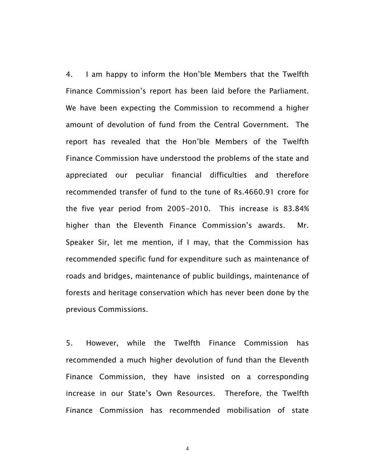4. I am happy to inform the Hon'ble Members that the Twelfth Finance Commission's report has been laid before the Parliament. We have been expecting the Commission to recommend a higher amount of devolution of fund from the Central Government. The report has revealed that the Hon'ble Members of the Twelfth Finance Commission have understood the problems of the state and appreciated our peculiar financial difficulties and therefore recommended transfer of fund to the tune of Rs.4660.91 crore for the five year period from 2005-2010. This increase is 83.84% higher than the Eleventh Finance Commission's awards. Mr. Speaker Sir, let me mention, if I may, that the Commission has recommended specific fund for expenditure such as maintenance of roads and bridges, maintenance of public buildings, maintenance of forests and heritage conservation which has never been done by the previous Commissions.

5. However, while the Twelfth Finance Commission has recommended a much higher devolution of fund than the Eleventh Finance Commission, they have insisted on a corresponding increase in our State's Own Resources. Therefore, the Twelfth Finance Commission has recommended mobilisation of state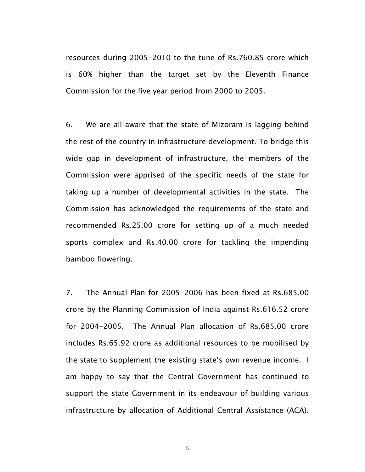resources during 2005-2010 to the tune of Rs.760.85 crore which is 60% higher than the target set by the Eleventh Finance Commission for the five year period from 2000 to 2005.

6. We are all aware that the state of Mizoram is lagging behind the rest of the country in infrastructure development. To bridge this wide gap in development of infrastructure, the members of the Commission were apprised of the specific needs of the state for taking up a number of developmental activities in the state. The Commission has acknowledged the requirements of the state and recommended Rs.25.00 crore for setting up of a much needed sports complex and Rs.40.00 crore for tackling the impending bamboo flowering.

7. The Annual Plan for 2005-2006 has been fixed at Rs.685.00 crore by the Planning Commission of India against Rs.616.52 crore for 2004-2005. The Annual Plan allocation of Rs.685.00 crore includes Rs.65.92 crore as additional resources to be mobilised by the state to supplement the existing state's own revenue income. I am happy to say that the Central Government has continued to support the state Government in its endeavour of building various infrastructure by allocation of Additional Central Assistance (ACA).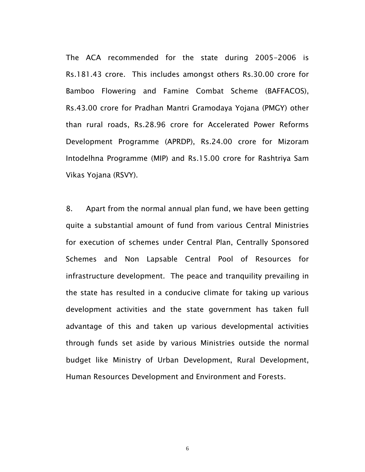The ACA recommended for the state during 2005-2006 is Rs.181.43 crore. This includes amongst others Rs.30.00 crore for Bamboo Flowering and Famine Combat Scheme (BAFFACOS), Rs.43.00 crore for Pradhan Mantri Gramodaya Yojana (PMGY) other than rural roads, Rs.28.96 crore for Accelerated Power Reforms Development Programme (APRDP), Rs.24.00 crore for Mizoram Intodelhna Programme (MIP) and Rs.15.00 crore for Rashtriya Sam Vikas Yojana (RSVY).

8. Apart from the normal annual plan fund, we have been getting quite a substantial amount of fund from various Central Ministries for execution of schemes under Central Plan, Centrally Sponsored Schemes and Non Lapsable Central Pool of Resources for infrastructure development. The peace and tranquility prevailing in the state has resulted in a conducive climate for taking up various development activities and the state government has taken full advantage of this and taken up various developmental activities through funds set aside by various Ministries outside the normal budget like Ministry of Urban Development, Rural Development, Human Resources Development and Environment and Forests.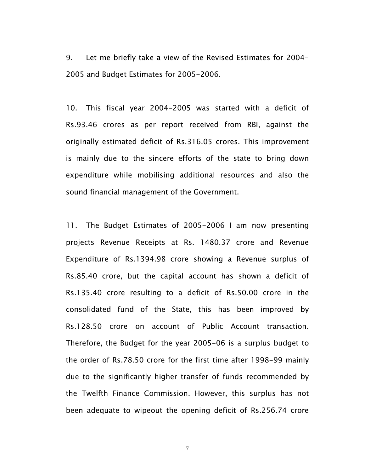9. Let me briefly take a view of the Revised Estimates for 2004- 2005 and Budget Estimates for 2005-2006.

10. This fiscal year 2004-2005 was started with a deficit of Rs.93.46 crores as per report received from RBI, against the originally estimated deficit of Rs.316.05 crores. This improvement is mainly due to the sincere efforts of the state to bring down expenditure while mobilising additional resources and also the sound financial management of the Government.

11. The Budget Estimates of 2005-2006 I am now presenting projects Revenue Receipts at Rs. 1480.37 crore and Revenue Expenditure of Rs.1394.98 crore showing a Revenue surplus of Rs.85.40 crore, but the capital account has shown a deficit of Rs.135.40 crore resulting to a deficit of Rs.50.00 crore in the consolidated fund of the State, this has been improved by Rs.128.50 crore on account of Public Account transaction. Therefore, the Budget for the year 2005-06 is a surplus budget to the order of Rs.78.50 crore for the first time after 1998-99 mainly due to the significantly higher transfer of funds recommended by the Twelfth Finance Commission. However, this surplus has not been adequate to wipeout the opening deficit of Rs.256.74 crore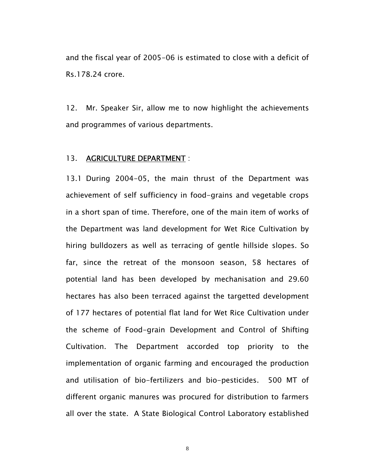and the fiscal year of 2005-06 is estimated to close with a deficit of Rs.178.24 crore.

12. Mr. Speaker Sir, allow me to now highlight the achievements and programmes of various departments.

#### 13. AGRICULTURE DEPARTMENT :

13.1 During 2004-05, the main thrust of the Department was achievement of self sufficiency in food-grains and vegetable crops in a short span of time. Therefore, one of the main item of works of the Department was land development for Wet Rice Cultivation by hiring bulldozers as well as terracing of gentle hillside slopes. So far, since the retreat of the monsoon season, 58 hectares of potential land has been developed by mechanisation and 29.60 hectares has also been terraced against the targetted development of 177 hectares of potential flat land for Wet Rice Cultivation under the scheme of Food-grain Development and Control of Shifting Cultivation. The Department accorded top priority to the implementation of organic farming and encouraged the production and utilisation of bio-fertilizers and bio-pesticides. 500 MT of different organic manures was procured for distribution to farmers all over the state. A State Biological Control Laboratory established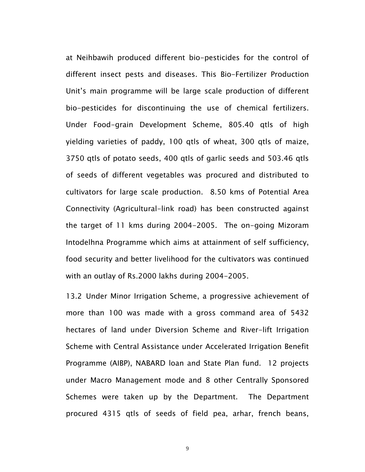at Neihbawih produced different bio-pesticides for the control of different insect pests and diseases. This Bio-Fertilizer Production Unit's main programme will be large scale production of different bio-pesticides for discontinuing the use of chemical fertilizers. Under Food-grain Development Scheme, 805.40 qtls of high yielding varieties of paddy, 100 qtls of wheat, 300 qtls of maize, 3750 qtls of potato seeds, 400 qtls of garlic seeds and 503.46 qtls of seeds of different vegetables was procured and distributed to cultivators for large scale production. 8.50 kms of Potential Area Connectivity (Agricultural-link road) has been constructed against the target of 11 kms during 2004-2005. The on-going Mizoram Intodelhna Programme which aims at attainment of self sufficiency, food security and better livelihood for the cultivators was continued with an outlay of Rs.2000 lakhs during 2004-2005.

13.2 Under Minor Irrigation Scheme, a progressive achievement of more than 100 was made with a gross command area of 5432 hectares of land under Diversion Scheme and River-lift Irrigation Scheme with Central Assistance under Accelerated Irrigation Benefit Programme (AIBP), NABARD loan and State Plan fund. 12 projects under Macro Management mode and 8 other Centrally Sponsored Schemes were taken up by the Department. The Department procured 4315 qtls of seeds of field pea, arhar, french beans,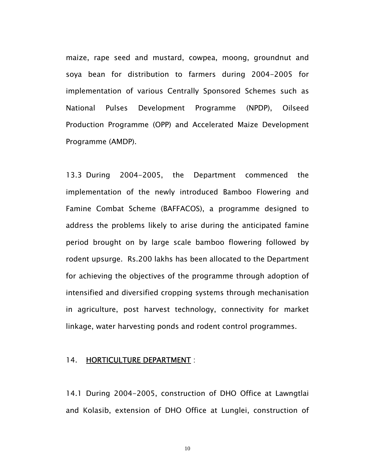maize, rape seed and mustard, cowpea, moong, groundnut and soya bean for distribution to farmers during 2004-2005 for implementation of various Centrally Sponsored Schemes such as National Pulses Development Programme (NPDP), Oilseed Production Programme (OPP) and Accelerated Maize Development Programme (AMDP).

13.3 During 2004-2005, the Department commenced the implementation of the newly introduced Bamboo Flowering and Famine Combat Scheme (BAFFACOS), a programme designed to address the problems likely to arise during the anticipated famine period brought on by large scale bamboo flowering followed by rodent upsurge. Rs.200 lakhs has been allocated to the Department for achieving the objectives of the programme through adoption of intensified and diversified cropping systems through mechanisation in agriculture, post harvest technology, connectivity for market linkage, water harvesting ponds and rodent control programmes.

#### 14. HORTICULTURE DEPARTMENT :

14.1 During 2004-2005, construction of DHO Office at Lawngtlai and Kolasib, extension of DHO Office at Lunglei, construction of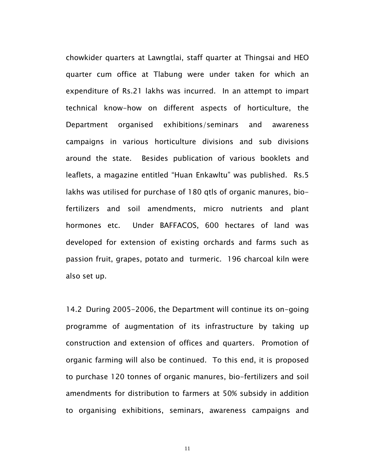chowkider quarters at Lawngtlai, staff quarter at Thingsai and HEO quarter cum office at Tlabung were under taken for which an expenditure of Rs.21 lakhs was incurred. In an attempt to impart technical know-how on different aspects of horticulture, the Department organised exhibitions/seminars and awareness campaigns in various horticulture divisions and sub divisions around the state. Besides publication of various booklets and leaflets, a magazine entitled "Huan Enkawltu" was published. Rs.5 lakhs was utilised for purchase of 180 qtls of organic manures, biofertilizers and soil amendments, micro nutrients and plant hormones etc. Under BAFFACOS, 600 hectares of land was developed for extension of existing orchards and farms such as passion fruit, grapes, potato and turmeric. 196 charcoal kiln were also set up.

14.2 During 2005-2006, the Department will continue its on-going programme of augmentation of its infrastructure by taking up construction and extension of offices and quarters. Promotion of organic farming will also be continued. To this end, it is proposed to purchase 120 tonnes of organic manures, bio-fertilizers and soil amendments for distribution to farmers at 50% subsidy in addition to organising exhibitions, seminars, awareness campaigns and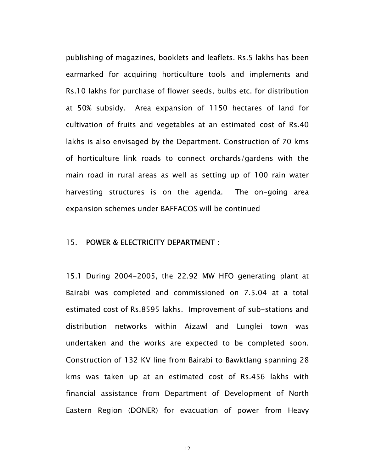publishing of magazines, booklets and leaflets. Rs.5 lakhs has been earmarked for acquiring horticulture tools and implements and Rs.10 lakhs for purchase of flower seeds, bulbs etc. for distribution at 50% subsidy. Area expansion of 1150 hectares of land for cultivation of fruits and vegetables at an estimated cost of Rs.40 lakhs is also envisaged by the Department. Construction of 70 kms of horticulture link roads to connect orchards/gardens with the main road in rural areas as well as setting up of 100 rain water harvesting structures is on the agenda. The on-going area expansion schemes under BAFFACOS will be continued

#### 15. POWER & ELECTRICITY DEPARTMENT :

15.1 During 2004-2005, the 22.92 MW HFO generating plant at Bairabi was completed and commissioned on 7.5.04 at a total estimated cost of Rs.8595 lakhs. Improvement of sub-stations and distribution networks within Aizawl and Lunglei town was undertaken and the works are expected to be completed soon. Construction of 132 KV line from Bairabi to Bawktlang spanning 28 kms was taken up at an estimated cost of Rs.456 lakhs with financial assistance from Department of Development of North Eastern Region (DONER) for evacuation of power from Heavy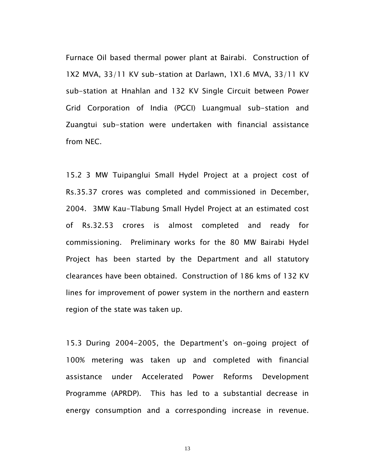Furnace Oil based thermal power plant at Bairabi. Construction of 1X2 MVA, 33/11 KV sub-station at Darlawn, 1X1.6 MVA, 33/11 KV sub-station at Hnahlan and 132 KV Single Circuit between Power Grid Corporation of India (PGCI) Luangmual sub-station and Zuangtui sub-station were undertaken with financial assistance from NEC.

15.2 3 MW Tuipanglui Small Hydel Project at a project cost of Rs.35.37 crores was completed and commissioned in December, 2004. 3MW Kau-Tlabung Small Hydel Project at an estimated cost of Rs.32.53 crores is almost completed and ready for commissioning. Preliminary works for the 80 MW Bairabi Hydel Project has been started by the Department and all statutory clearances have been obtained. Construction of 186 kms of 132 KV lines for improvement of power system in the northern and eastern region of the state was taken up.

15.3 During 2004-2005, the Department's on-going project of 100% metering was taken up and completed with financial assistance under Accelerated Power Reforms Development Programme (APRDP). This has led to a substantial decrease in energy consumption and a corresponding increase in revenue.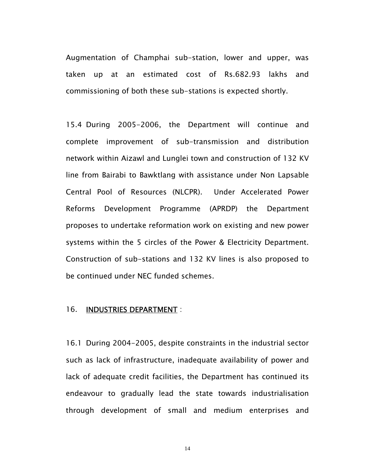Augmentation of Champhai sub-station, lower and upper, was taken up at an estimated cost of Rs.682.93 lakhs and commissioning of both these sub-stations is expected shortly.

15.4 During 2005-2006, the Department will continue and complete improvement of sub-transmission and distribution network within Aizawl and Lunglei town and construction of 132 KV line from Bairabi to Bawktlang with assistance under Non Lapsable Central Pool of Resources (NLCPR). Under Accelerated Power Reforms Development Programme (APRDP) the Department proposes to undertake reformation work on existing and new power systems within the 5 circles of the Power & Electricity Department. Construction of sub-stations and 132 KV lines is also proposed to be continued under NEC funded schemes.

#### 16. INDUSTRIES DEPARTMENT :

16.1 During 2004-2005, despite constraints in the industrial sector such as lack of infrastructure, inadequate availability of power and lack of adequate credit facilities, the Department has continued its endeavour to gradually lead the state towards industrialisation through development of small and medium enterprises and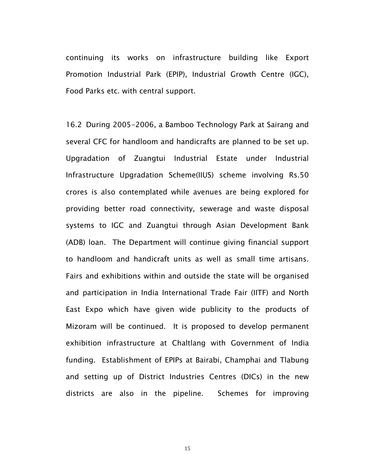continuing its works on infrastructure building like Export Promotion Industrial Park (EPIP), Industrial Growth Centre (IGC), Food Parks etc. with central support.

16.2 During 2005-2006, a Bamboo Technology Park at Sairang and several CFC for handloom and handicrafts are planned to be set up. Upgradation of Zuangtui Industrial Estate under Industrial Infrastructure Upgradation Scheme(IIUS) scheme involving Rs.50 crores is also contemplated while avenues are being explored for providing better road connectivity, sewerage and waste disposal systems to IGC and Zuangtui through Asian Development Bank (ADB) loan. The Department will continue giving financial support to handloom and handicraft units as well as small time artisans. Fairs and exhibitions within and outside the state will be organised and participation in India International Trade Fair (IITF) and North East Expo which have given wide publicity to the products of Mizoram will be continued. It is proposed to develop permanent exhibition infrastructure at Chaltlang with Government of India funding. Establishment of EPIPs at Bairabi, Champhai and Tlabung and setting up of District Industries Centres (DICs) in the new districts are also in the pipeline. Schemes for improving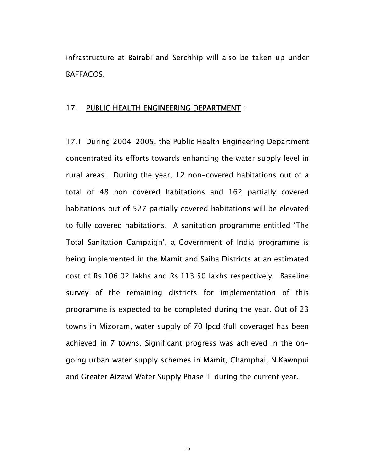infrastructure at Bairabi and Serchhip will also be taken up under BAFFACOS.

#### 17. PUBLIC HEALTH ENGINEERING DEPARTMENT :

17.1 During 2004-2005, the Public Health Engineering Department concentrated its efforts towards enhancing the water supply level in rural areas. During the year, 12 non-covered habitations out of a total of 48 non covered habitations and 162 partially covered habitations out of 527 partially covered habitations will be elevated to fully covered habitations. A sanitation programme entitled 'The Total Sanitation Campaign', a Government of India programme is being implemented in the Mamit and Saiha Districts at an estimated cost of Rs.106.02 lakhs and Rs.113.50 lakhs respectively. Baseline survey of the remaining districts for implementation of this programme is expected to be completed during the year. Out of 23 towns in Mizoram, water supply of 70 lpcd (full coverage) has been achieved in 7 towns. Significant progress was achieved in the ongoing urban water supply schemes in Mamit, Champhai, N.Kawnpui and Greater Aizawl Water Supply Phase-II during the current year.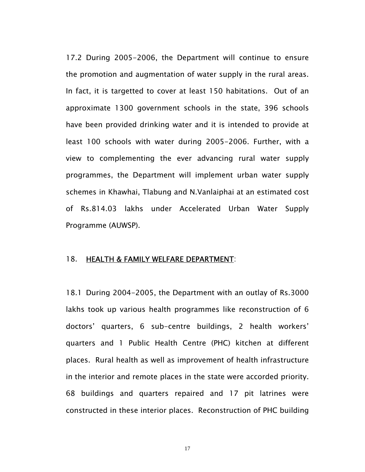17.2 During 2005-2006, the Department will continue to ensure the promotion and augmentation of water supply in the rural areas. In fact, it is targetted to cover at least 150 habitations. Out of an approximate 1300 government schools in the state, 396 schools have been provided drinking water and it is intended to provide at least 100 schools with water during 2005-2006. Further, with a view to complementing the ever advancing rural water supply programmes, the Department will implement urban water supply schemes in Khawhai, Tlabung and N.Vanlaiphai at an estimated cost of Rs.814.03 lakhs under Accelerated Urban Water Supply Programme (AUWSP).

#### 18. HEALTH & FAMILY WELFARE DEPARTMENT:

18.1 During 2004-2005, the Department with an outlay of Rs.3000 lakhs took up various health programmes like reconstruction of 6 doctors' quarters, 6 sub-centre buildings, 2 health workers' quarters and 1 Public Health Centre (PHC) kitchen at different places. Rural health as well as improvement of health infrastructure in the interior and remote places in the state were accorded priority. 68 buildings and quarters repaired and 17 pit latrines were constructed in these interior places. Reconstruction of PHC building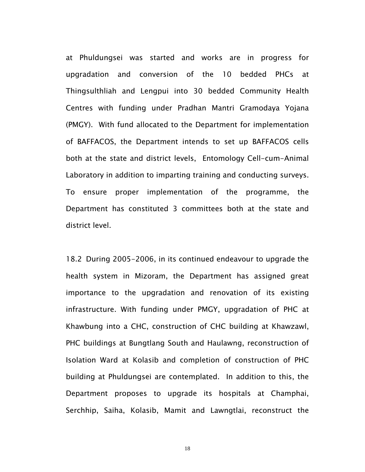at Phuldungsei was started and works are in progress for upgradation and conversion of the 10 bedded PHCs at Thingsulthliah and Lengpui into 30 bedded Community Health Centres with funding under Pradhan Mantri Gramodaya Yojana (PMGY). With fund allocated to the Department for implementation of BAFFACOS, the Department intends to set up BAFFACOS cells both at the state and district levels, Entomology Cell-cum-Animal Laboratory in addition to imparting training and conducting surveys. To ensure proper implementation of the programme, the Department has constituted 3 committees both at the state and district level.

18.2 During 2005-2006, in its continued endeavour to upgrade the health system in Mizoram, the Department has assigned great importance to the upgradation and renovation of its existing infrastructure. With funding under PMGY, upgradation of PHC at Khawbung into a CHC, construction of CHC building at Khawzawl, PHC buildings at Bungtlang South and Haulawng, reconstruction of Isolation Ward at Kolasib and completion of construction of PHC building at Phuldungsei are contemplated. In addition to this, the Department proposes to upgrade its hospitals at Champhai, Serchhip, Saiha, Kolasib, Mamit and Lawngtlai, reconstruct the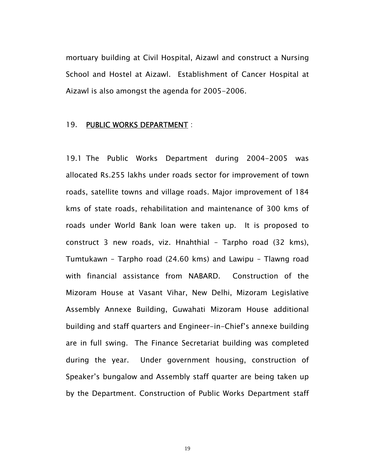mortuary building at Civil Hospital, Aizawl and construct a Nursing School and Hostel at Aizawl. Establishment of Cancer Hospital at Aizawl is also amongst the agenda for 2005-2006.

#### 19. PUBLIC WORKS DEPARTMENT :

19.1 The Public Works Department during 2004-2005 was allocated Rs.255 lakhs under roads sector for improvement of town roads, satellite towns and village roads. Major improvement of 184 kms of state roads, rehabilitation and maintenance of 300 kms of roads under World Bank loan were taken up. It is proposed to construct 3 new roads, viz. Hnahthial – Tarpho road (32 kms), Tumtukawn – Tarpho road (24.60 kms) and Lawipu – Tlawng road with financial assistance from NABARD. Construction of the Mizoram House at Vasant Vihar, New Delhi, Mizoram Legislative Assembly Annexe Building, Guwahati Mizoram House additional building and staff quarters and Engineer-in-Chief's annexe building are in full swing. The Finance Secretariat building was completed during the year. Under government housing, construction of Speaker's bungalow and Assembly staff quarter are being taken up by the Department. Construction of Public Works Department staff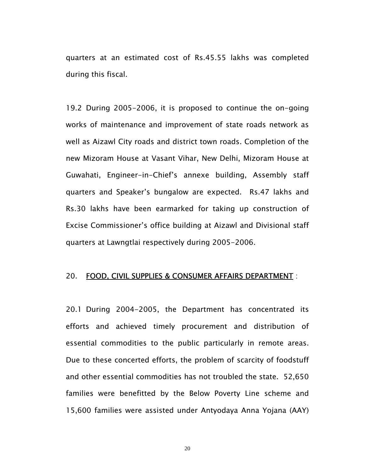quarters at an estimated cost of Rs.45.55 lakhs was completed during this fiscal.

19.2 During 2005-2006, it is proposed to continue the on-going works of maintenance and improvement of state roads network as well as Aizawl City roads and district town roads. Completion of the new Mizoram House at Vasant Vihar, New Delhi, Mizoram House at Guwahati, Engineer-in-Chief's annexe building, Assembly staff quarters and Speaker's bungalow are expected. Rs.47 lakhs and Rs.30 lakhs have been earmarked for taking up construction of Excise Commissioner's office building at Aizawl and Divisional staff quarters at Lawngtlai respectively during 2005-2006.

#### 20. FOOD, CIVIL SUPPLIES & CONSUMER AFFAIRS DEPARTMENT :

20.1 During 2004-2005, the Department has concentrated its efforts and achieved timely procurement and distribution of essential commodities to the public particularly in remote areas. Due to these concerted efforts, the problem of scarcity of foodstuff and other essential commodities has not troubled the state. 52,650 families were benefitted by the Below Poverty Line scheme and 15,600 families were assisted under Antyodaya Anna Yojana (AAY)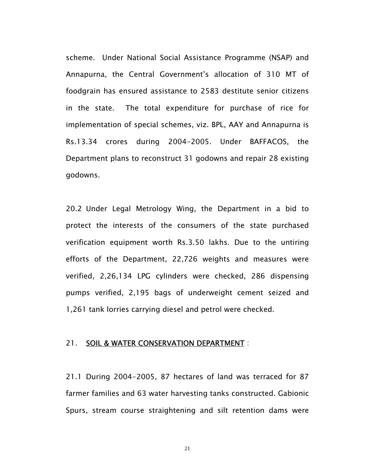scheme. Under National Social Assistance Programme (NSAP) and Annapurna, the Central Government's allocation of 310 MT of foodgrain has ensured assistance to 2583 destitute senior citizens in the state. The total expenditure for purchase of rice for implementation of special schemes, viz. BPL, AAY and Annapurna is Rs.13.34 crores during 2004-2005. Under BAFFACOS, the Department plans to reconstruct 31 godowns and repair 28 existing godowns.

20.2 Under Legal Metrology Wing, the Department in a bid to protect the interests of the consumers of the state purchased verification equipment worth Rs.3.50 lakhs. Due to the untiring efforts of the Department, 22,726 weights and measures were verified, 2,26,134 LPG cylinders were checked, 286 dispensing pumps verified, 2,195 bags of underweight cement seized and 1,261 tank lorries carrying diesel and petrol were checked.

#### 21. SOIL & WATER CONSERVATION DEPARTMENT :

21.1 During 2004-2005, 87 hectares of land was terraced for 87 farmer families and 63 water harvesting tanks constructed. Gabionic Spurs, stream course straightening and silt retention dams were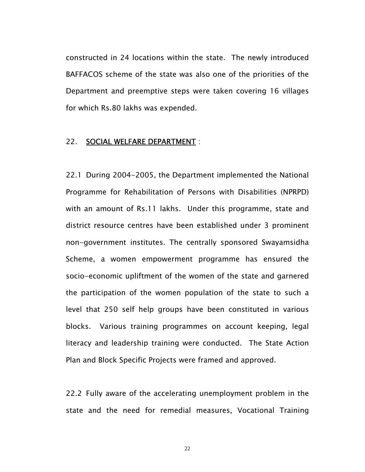constructed in 24 locations within the state. The newly introduced BAFFACOS scheme of the state was also one of the priorities of the Department and preemptive steps were taken covering 16 villages for which Rs.80 lakhs was expended.

#### 22. SOCIAL WELFARE DEPARTMENT :

22.1 During 2004-2005, the Department implemented the National Programme for Rehabilitation of Persons with Disabilities (NPRPD) with an amount of Rs.11 lakhs. Under this programme, state and district resource centres have been established under 3 prominent non-government institutes. The centrally sponsored Swayamsidha Scheme, a women empowerment programme has ensured the socio-economic upliftment of the women of the state and garnered the participation of the women population of the state to such a level that 250 self help groups have been constituted in various blocks. Various training programmes on account keeping, legal literacy and leadership training were conducted. The State Action Plan and Block Specific Projects were framed and approved.

22.2 Fully aware of the accelerating unemployment problem in the state and the need for remedial measures, Vocational Training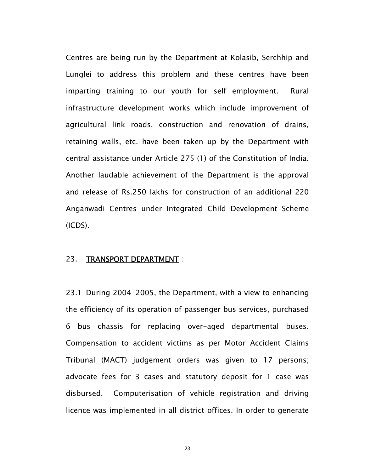Centres are being run by the Department at Kolasib, Serchhip and Lunglei to address this problem and these centres have been imparting training to our youth for self employment. Rural infrastructure development works which include improvement of agricultural link roads, construction and renovation of drains, retaining walls, etc. have been taken up by the Department with central assistance under Article 275 (1) of the Constitution of India. Another laudable achievement of the Department is the approval and release of Rs.250 lakhs for construction of an additional 220 Anganwadi Centres under Integrated Child Development Scheme (ICDS).

#### 23. TRANSPORT DEPARTMENT :

23.1 During 2004-2005, the Department, with a view to enhancing the efficiency of its operation of passenger bus services, purchased 6 bus chassis for replacing over-aged departmental buses. Compensation to accident victims as per Motor Accident Claims Tribunal (MACT) judgement orders was given to 17 persons; advocate fees for 3 cases and statutory deposit for 1 case was disbursed. Computerisation of vehicle registration and driving licence was implemented in all district offices. In order to generate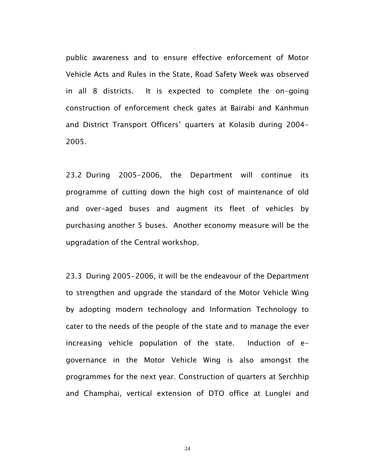public awareness and to ensure effective enforcement of Motor Vehicle Acts and Rules in the State, Road Safety Week was observed in all 8 districts. It is expected to complete the on-going construction of enforcement check gates at Bairabi and Kanhmun and District Transport Officers' quarters at Kolasib during 2004- 2005.

23.2 During 2005-2006, the Department will continue its programme of cutting down the high cost of maintenance of old and over-aged buses and augment its fleet of vehicles by purchasing another 5 buses. Another economy measure will be the upgradation of the Central workshop.

23.3 During 2005-2006, it will be the endeavour of the Department to strengthen and upgrade the standard of the Motor Vehicle Wing by adopting modern technology and Information Technology to cater to the needs of the people of the state and to manage the ever increasing vehicle population of the state. Induction of egovernance in the Motor Vehicle Wing is also amongst the programmes for the next year. Construction of quarters at Serchhip and Champhai, vertical extension of DTO office at Lunglei and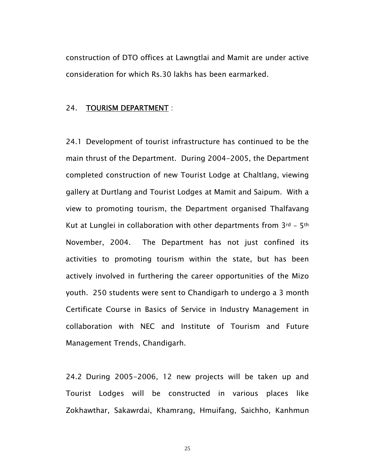construction of DTO offices at Lawngtlai and Mamit are under active consideration for which Rs.30 lakhs has been earmarked.

#### 24. TOURISM DEPARTMENT :

24.1 Development of tourist infrastructure has continued to be the main thrust of the Department. During 2004-2005, the Department completed construction of new Tourist Lodge at Chaltlang, viewing gallery at Durtlang and Tourist Lodges at Mamit and Saipum. With a view to promoting tourism, the Department organised Thalfavang Kut at Lunglei in collaboration with other departments from  $3^{rd}$  –  $5^{th}$ November, 2004. The Department has not just confined its activities to promoting tourism within the state, but has been actively involved in furthering the career opportunities of the Mizo youth. 250 students were sent to Chandigarh to undergo a 3 month Certificate Course in Basics of Service in Industry Management in collaboration with NEC and Institute of Tourism and Future Management Trends, Chandigarh.

24.2 During 2005-2006, 12 new projects will be taken up and Tourist Lodges will be constructed in various places like Zokhawthar, Sakawrdai, Khamrang, Hmuifang, Saichho, Kanhmun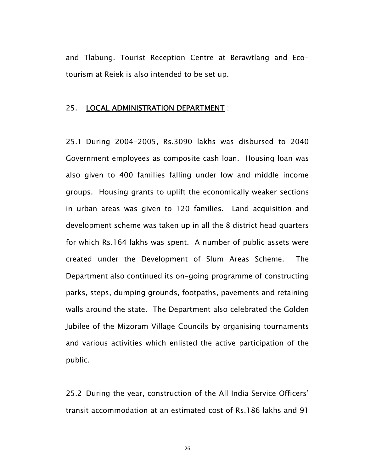and Tlabung. Tourist Reception Centre at Berawtlang and Ecotourism at Reiek is also intended to be set up.

#### 25. LOCAL ADMINISTRATION DEPARTMENT :

25.1 During 2004-2005, Rs.3090 lakhs was disbursed to 2040 Government employees as composite cash loan. Housing loan was also given to 400 families falling under low and middle income groups. Housing grants to uplift the economically weaker sections in urban areas was given to 120 families. Land acquisition and development scheme was taken up in all the 8 district head quarters for which Rs.164 lakhs was spent. A number of public assets were created under the Development of Slum Areas Scheme. The Department also continued its on-going programme of constructing parks, steps, dumping grounds, footpaths, pavements and retaining walls around the state. The Department also celebrated the Golden Jubilee of the Mizoram Village Councils by organising tournaments and various activities which enlisted the active participation of the public.

25.2 During the year, construction of the All India Service Officers' transit accommodation at an estimated cost of Rs.186 lakhs and 91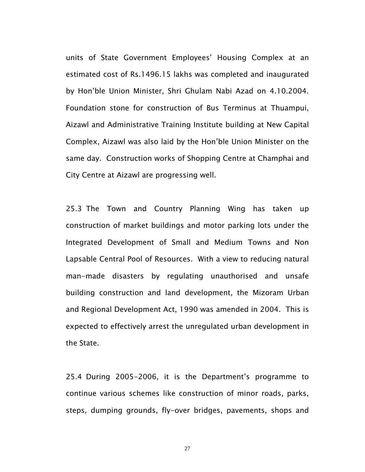units of State Government Employees' Housing Complex at an estimated cost of Rs.1496.15 lakhs was completed and inaugurated by Hon'ble Union Minister, Shri Ghulam Nabi Azad on 4.10.2004. Foundation stone for construction of Bus Terminus at Thuampui, Aizawl and Administrative Training Institute building at New Capital Complex, Aizawl was also laid by the Hon'ble Union Minister on the same day. Construction works of Shopping Centre at Champhai and City Centre at Aizawl are progressing well.

25.3 The Town and Country Planning Wing has taken up construction of market buildings and motor parking lots under the Integrated Development of Small and Medium Towns and Non Lapsable Central Pool of Resources. With a view to reducing natural man-made disasters by regulating unauthorised and unsafe building construction and land development, the Mizoram Urban and Regional Development Act, 1990 was amended in 2004. This is expected to effectively arrest the unregulated urban development in the State.

25.4 During 2005-2006, it is the Department's programme to continue various schemes like construction of minor roads, parks, steps, dumping grounds, fly-over bridges, pavements, shops and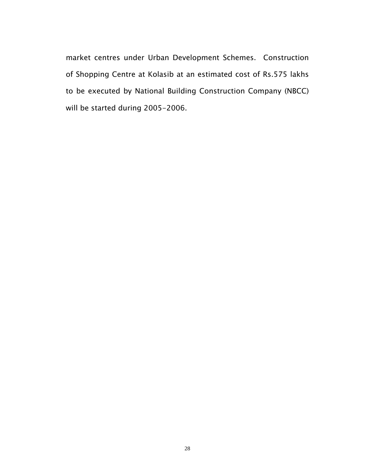market centres under Urban Development Schemes. Construction of Shopping Centre at Kolasib at an estimated cost of Rs.575 lakhs to be executed by National Building Construction Company (NBCC) will be started during 2005-2006.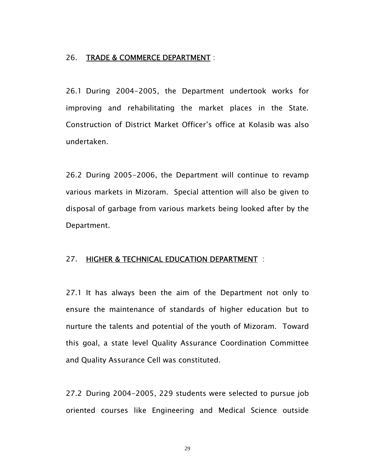#### 26. TRADE & COMMERCE DEPARTMENT :

26.1 During 2004-2005, the Department undertook works for improving and rehabilitating the market places in the State. Construction of District Market Officer's office at Kolasib was also undertaken.

26.2 During 2005-2006, the Department will continue to revamp various markets in Mizoram. Special attention will also be given to disposal of garbage from various markets being looked after by the Department.

#### 27. HIGHER & TECHNICAL EDUCATION DEPARTMENT :

27.1 It has always been the aim of the Department not only to ensure the maintenance of standards of higher education but to nurture the talents and potential of the youth of Mizoram. Toward this goal, a state level Quality Assurance Coordination Committee and Quality Assurance Cell was constituted.

27.2 During 2004-2005, 229 students were selected to pursue job oriented courses like Engineering and Medical Science outside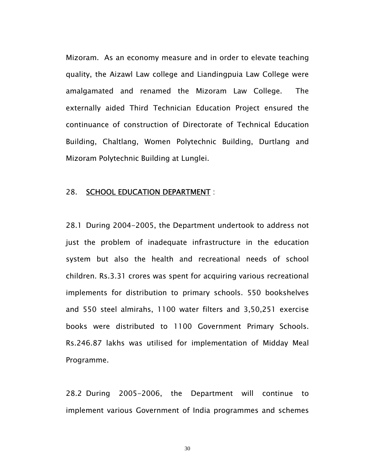Mizoram. As an economy measure and in order to elevate teaching quality, the Aizawl Law college and Liandingpuia Law College were amalgamated and renamed the Mizoram Law College. The externally aided Third Technician Education Project ensured the continuance of construction of Directorate of Technical Education Building, Chaltlang, Women Polytechnic Building, Durtlang and Mizoram Polytechnic Building at Lunglei.

#### 28. SCHOOL EDUCATION DEPARTMENT :

28.1 During 2004-2005, the Department undertook to address not just the problem of inadequate infrastructure in the education system but also the health and recreational needs of school children. Rs.3.31 crores was spent for acquiring various recreational implements for distribution to primary schools. 550 bookshelves and 550 steel almirahs, 1100 water filters and 3,50,251 exercise books were distributed to 1100 Government Primary Schools. Rs.246.87 lakhs was utilised for implementation of Midday Meal Programme.

28.2 During 2005-2006, the Department will continue to implement various Government of India programmes and schemes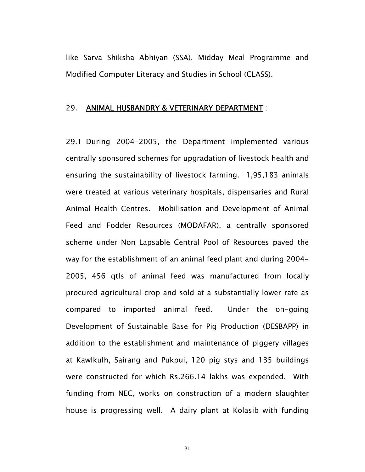like Sarva Shiksha Abhiyan (SSA), Midday Meal Programme and Modified Computer Literacy and Studies in School (CLASS).

#### 29. ANIMAL HUSBANDRY & VETERINARY DEPARTMENT :

29.1 During 2004-2005, the Department implemented various centrally sponsored schemes for upgradation of livestock health and ensuring the sustainability of livestock farming. 1,95,183 animals were treated at various veterinary hospitals, dispensaries and Rural Animal Health Centres. Mobilisation and Development of Animal Feed and Fodder Resources (MODAFAR), a centrally sponsored scheme under Non Lapsable Central Pool of Resources paved the way for the establishment of an animal feed plant and during 2004- 2005, 456 qtls of animal feed was manufactured from locally procured agricultural crop and sold at a substantially lower rate as compared to imported animal feed. Under the on-going Development of Sustainable Base for Pig Production (DESBAPP) in addition to the establishment and maintenance of piggery villages at Kawlkulh, Sairang and Pukpui, 120 pig stys and 135 buildings were constructed for which Rs.266.14 lakhs was expended. With funding from NEC, works on construction of a modern slaughter house is progressing well. A dairy plant at Kolasib with funding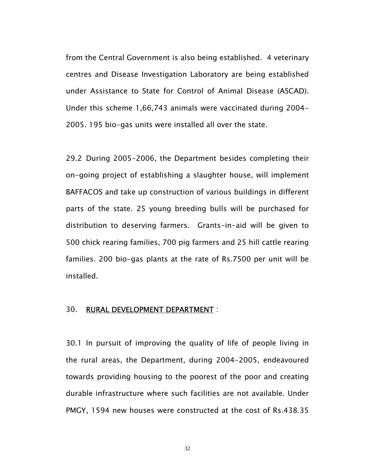from the Central Government is also being established. 4 veterinary centres and Disease Investigation Laboratory are being established under Assistance to State for Control of Animal Disease (ASCAD). Under this scheme 1,66,743 animals were vaccinated during 2004- 2005. 195 bio-gas units were installed all over the state.

29.2 During 2005-2006, the Department besides completing their on-going project of establishing a slaughter house, will implement BAFFACOS and take up construction of various buildings in different parts of the state. 25 young breeding bulls will be purchased for distribution to deserving farmers. Grants-in-aid will be given to 500 chick rearing families, 700 pig farmers and 25 hill cattle rearing families. 200 bio-gas plants at the rate of Rs.7500 per unit will be installed.

#### 30. RURAL DEVELOPMENT DEPARTMENT :

30.1 In pursuit of improving the quality of life of people living in the rural areas, the Department, during 2004-2005, endeavoured towards providing housing to the poorest of the poor and creating durable infrastructure where such facilities are not available. Under PMGY, 1594 new houses were constructed at the cost of Rs.438.35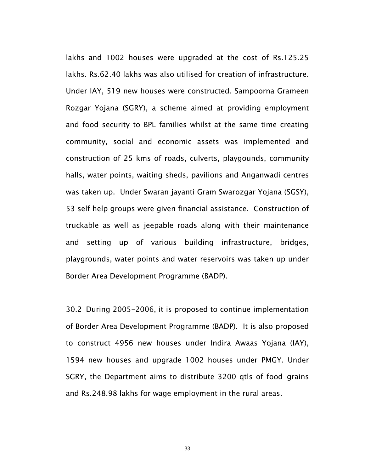lakhs and 1002 houses were upgraded at the cost of Rs.125.25 lakhs. Rs.62.40 lakhs was also utilised for creation of infrastructure. Under IAY, 519 new houses were constructed. Sampoorna Grameen Rozgar Yojana (SGRY), a scheme aimed at providing employment and food security to BPL families whilst at the same time creating community, social and economic assets was implemented and construction of 25 kms of roads, culverts, playgounds, community halls, water points, waiting sheds, pavilions and Anganwadi centres was taken up. Under Swaran jayanti Gram Swarozgar Yojana (SGSY), 53 self help groups were given financial assistance. Construction of truckable as well as jeepable roads along with their maintenance and setting up of various building infrastructure, bridges, playgrounds, water points and water reservoirs was taken up under Border Area Development Programme (BADP).

30.2 During 2005-2006, it is proposed to continue implementation of Border Area Development Programme (BADP). It is also proposed to construct 4956 new houses under Indira Awaas Yojana (IAY), 1594 new houses and upgrade 1002 houses under PMGY. Under SGRY, the Department aims to distribute 3200 qtls of food-grains and Rs.248.98 lakhs for wage employment in the rural areas.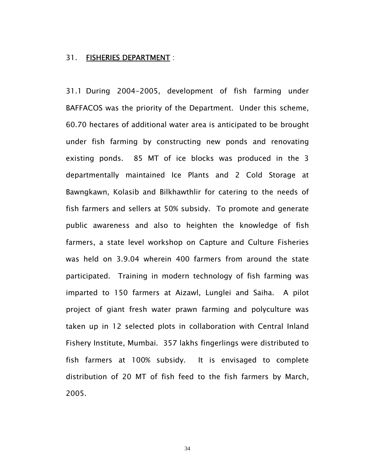#### 31. FISHERIES DEPARTMENT :

31.1 During 2004-2005, development of fish farming under BAFFACOS was the priority of the Department. Under this scheme, 60.70 hectares of additional water area is anticipated to be brought under fish farming by constructing new ponds and renovating existing ponds. 85 MT of ice blocks was produced in the 3 departmentally maintained Ice Plants and 2 Cold Storage at Bawngkawn, Kolasib and Bilkhawthlir for catering to the needs of fish farmers and sellers at 50% subsidy. To promote and generate public awareness and also to heighten the knowledge of fish farmers, a state level workshop on Capture and Culture Fisheries was held on 3.9.04 wherein 400 farmers from around the state participated. Training in modern technology of fish farming was imparted to 150 farmers at Aizawl, Lunglei and Saiha. A pilot project of giant fresh water prawn farming and polyculture was taken up in 12 selected plots in collaboration with Central Inland Fishery Institute, Mumbai. 357 lakhs fingerlings were distributed to fish farmers at 100% subsidy. It is envisaged to complete distribution of 20 MT of fish feed to the fish farmers by March, 2005.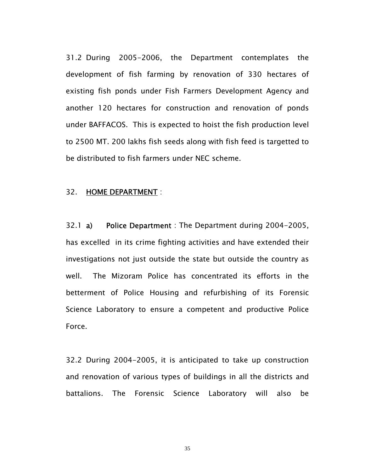31.2 During 2005-2006, the Department contemplates the development of fish farming by renovation of 330 hectares of existing fish ponds under Fish Farmers Development Agency and another 120 hectares for construction and renovation of ponds under BAFFACOS. This is expected to hoist the fish production level to 2500 MT. 200 lakhs fish seeds along with fish feed is targetted to be distributed to fish farmers under NEC scheme.

#### 32. HOME DEPARTMENT:

32.1 a) Police Department : The Department during 2004-2005, has excelled in its crime fighting activities and have extended their investigations not just outside the state but outside the country as well. The Mizoram Police has concentrated its efforts in the betterment of Police Housing and refurbishing of its Forensic Science Laboratory to ensure a competent and productive Police Force.

32.2 During 2004-2005, it is anticipated to take up construction and renovation of various types of buildings in all the districts and battalions. The Forensic Science Laboratory will also be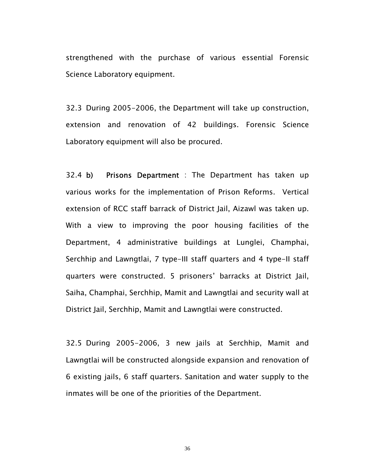strengthened with the purchase of various essential Forensic Science Laboratory equipment.

32.3 During 2005-2006, the Department will take up construction, extension and renovation of 42 buildings. Forensic Science Laboratory equipment will also be procured.

32.4 b) Prisons Department : The Department has taken up various works for the implementation of Prison Reforms. Vertical extension of RCC staff barrack of District Jail, Aizawl was taken up. With a view to improving the poor housing facilities of the Department, 4 administrative buildings at Lunglei, Champhai, Serchhip and Lawngtlai, 7 type-III staff quarters and 4 type-II staff quarters were constructed. 5 prisoners' barracks at District Jail, Saiha, Champhai, Serchhip, Mamit and Lawngtlai and security wall at District Jail, Serchhip, Mamit and Lawngtlai were constructed.

32.5 During 2005-2006, 3 new jails at Serchhip, Mamit and Lawngtlai will be constructed alongside expansion and renovation of 6 existing jails, 6 staff quarters. Sanitation and water supply to the inmates will be one of the priorities of the Department.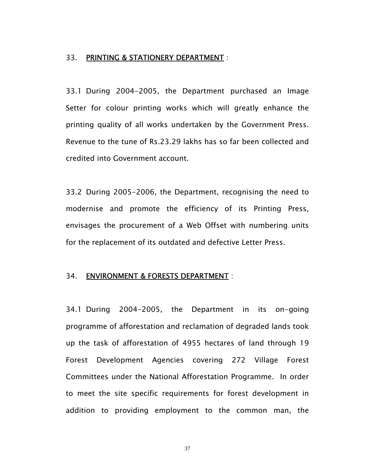#### 33. PRINTING & STATIONERY DEPARTMENT :

33.1 During 2004-2005, the Department purchased an Image Setter for colour printing works which will greatly enhance the printing quality of all works undertaken by the Government Press. Revenue to the tune of Rs.23.29 lakhs has so far been collected and credited into Government account.

33.2 During 2005-2006, the Department, recognising the need to modernise and promote the efficiency of its Printing Press, envisages the procurement of a Web Offset with numbering units for the replacement of its outdated and defective Letter Press.

#### 34. ENVIRONMENT & FORESTS DEPARTMENT :

34.1 During 2004-2005, the Department in its on-going programme of afforestation and reclamation of degraded lands took up the task of afforestation of 4955 hectares of land through 19 Forest Development Agencies covering 272 Village Forest Committees under the National Afforestation Programme. In order to meet the site specific requirements for forest development in addition to providing employment to the common man, the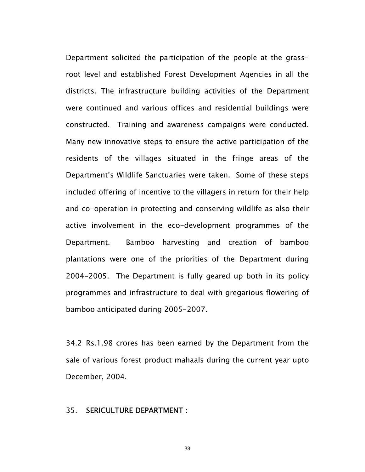Department solicited the participation of the people at the grassroot level and established Forest Development Agencies in all the districts. The infrastructure building activities of the Department were continued and various offices and residential buildings were constructed. Training and awareness campaigns were conducted. Many new innovative steps to ensure the active participation of the residents of the villages situated in the fringe areas of the Department's Wildlife Sanctuaries were taken. Some of these steps included offering of incentive to the villagers in return for their help and co-operation in protecting and conserving wildlife as also their active involvement in the eco-development programmes of the Department. Bamboo harvesting and creation of bamboo plantations were one of the priorities of the Department during 2004-2005. The Department is fully geared up both in its policy programmes and infrastructure to deal with gregarious flowering of bamboo anticipated during 2005-2007.

34.2 Rs.1.98 crores has been earned by the Department from the sale of various forest product mahaals during the current year upto December, 2004.

#### 35. SERICULTURE DEPARTMENT :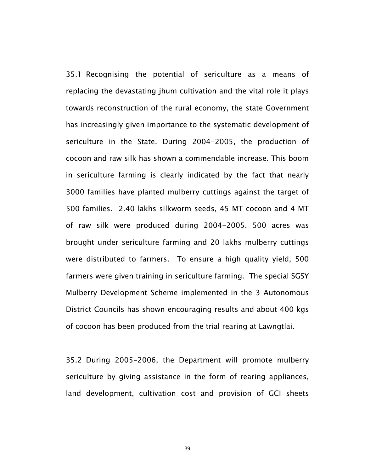35.1 Recognising the potential of sericulture as a means of replacing the devastating jhum cultivation and the vital role it plays towards reconstruction of the rural economy, the state Government has increasingly given importance to the systematic development of sericulture in the State. During 2004-2005, the production of cocoon and raw silk has shown a commendable increase. This boom in sericulture farming is clearly indicated by the fact that nearly 3000 families have planted mulberry cuttings against the target of 500 families. 2.40 lakhs silkworm seeds, 45 MT cocoon and 4 MT of raw silk were produced during 2004-2005. 500 acres was brought under sericulture farming and 20 lakhs mulberry cuttings were distributed to farmers. To ensure a high quality yield, 500 farmers were given training in sericulture farming. The special SGSY Mulberry Development Scheme implemented in the 3 Autonomous District Councils has shown encouraging results and about 400 kgs of cocoon has been produced from the trial rearing at Lawngtlai.

35.2 During 2005-2006, the Department will promote mulberry sericulture by giving assistance in the form of rearing appliances, land development, cultivation cost and provision of GCI sheets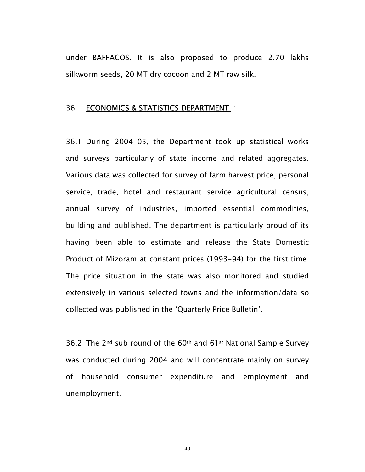under BAFFACOS. It is also proposed to produce 2.70 lakhs silkworm seeds, 20 MT dry cocoon and 2 MT raw silk.

#### 36. ECONOMICS & STATISTICS DEPARTMENT :

36.1 During 2004-05, the Department took up statistical works and surveys particularly of state income and related aggregates. Various data was collected for survey of farm harvest price, personal service, trade, hotel and restaurant service agricultural census, annual survey of industries, imported essential commodities, building and published. The department is particularly proud of its having been able to estimate and release the State Domestic Product of Mizoram at constant prices (1993-94) for the first time. The price situation in the state was also monitored and studied extensively in various selected towns and the information/data so collected was published in the 'Quarterly Price Bulletin'.

36.2 The 2nd sub round of the 60th and 61st National Sample Survey was conducted during 2004 and will concentrate mainly on survey of household consumer expenditure and employment and unemployment.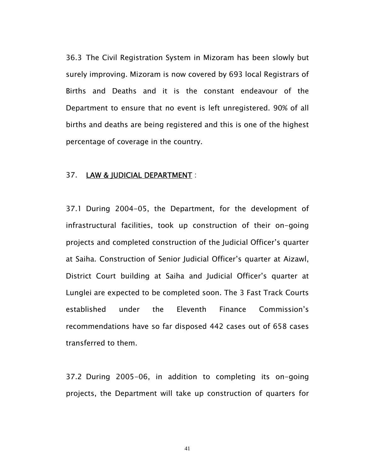36.3 The Civil Registration System in Mizoram has been slowly but surely improving. Mizoram is now covered by 693 local Registrars of Births and Deaths and it is the constant endeavour of the Department to ensure that no event is left unregistered. 90% of all births and deaths are being registered and this is one of the highest percentage of coverage in the country.

#### 37. LAW & JUDICIAL DEPARTMENT :

37.1 During 2004-05, the Department, for the development of infrastructural facilities, took up construction of their on-going projects and completed construction of the Judicial Officer's quarter at Saiha. Construction of Senior Judicial Officer's quarter at Aizawl, District Court building at Saiha and Judicial Officer's quarter at Lunglei are expected to be completed soon. The 3 Fast Track Courts established under the Eleventh Finance Commission's recommendations have so far disposed 442 cases out of 658 cases transferred to them.

37.2 During 2005-06, in addition to completing its on-going projects, the Department will take up construction of quarters for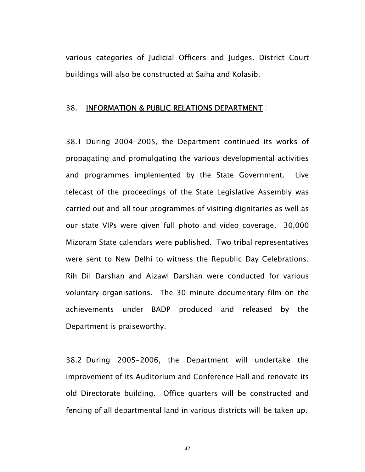various categories of Judicial Officers and Judges. District Court buildings will also be constructed at Saiha and Kolasib.

#### 38. INFORMATION & PUBLIC RELATIONS DEPARTMENT :

38.1 During 2004-2005, the Department continued its works of propagating and promulgating the various developmental activities and programmes implemented by the State Government. Live telecast of the proceedings of the State Legislative Assembly was carried out and all tour programmes of visiting dignitaries as well as our state VIPs were given full photo and video coverage. 30,000 Mizoram State calendars were published. Two tribal representatives were sent to New Delhi to witness the Republic Day Celebrations. Rih Dil Darshan and Aizawl Darshan were conducted for various voluntary organisations. The 30 minute documentary film on the achievements under BADP produced and released by the Department is praiseworthy.

38.2 During 2005-2006, the Department will undertake the improvement of its Auditorium and Conference Hall and renovate its old Directorate building. Office quarters will be constructed and fencing of all departmental land in various districts will be taken up.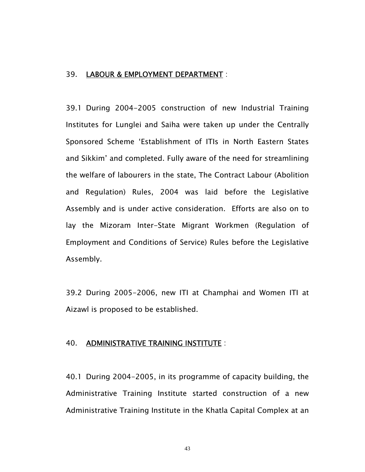#### 39. LABOUR & EMPLOYMENT DEPARTMENT :

39.1 During 2004-2005 construction of new Industrial Training Institutes for Lunglei and Saiha were taken up under the Centrally Sponsored Scheme 'Establishment of ITIs in North Eastern States and Sikkim' and completed. Fully aware of the need for streamlining the welfare of labourers in the state, The Contract Labour (Abolition and Regulation) Rules, 2004 was laid before the Legislative Assembly and is under active consideration. Efforts are also on to lay the Mizoram Inter-State Migrant Workmen (Regulation of Employment and Conditions of Service) Rules before the Legislative Assembly.

39.2 During 2005-2006, new ITI at Champhai and Women ITI at Aizawl is proposed to be established.

#### 40. ADMINISTRATIVE TRAINING INSTITUTE :

40.1 During 2004-2005, in its programme of capacity building, the Administrative Training Institute started construction of a new Administrative Training Institute in the Khatla Capital Complex at an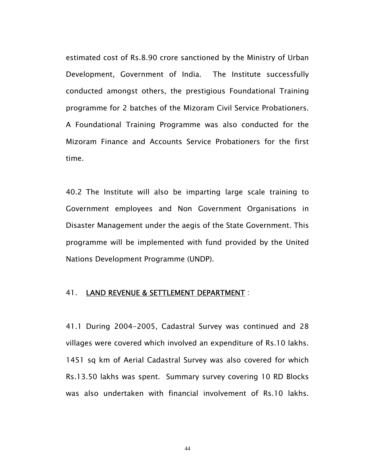estimated cost of Rs.8.90 crore sanctioned by the Ministry of Urban Development, Government of India. The Institute successfully conducted amongst others, the prestigious Foundational Training programme for 2 batches of the Mizoram Civil Service Probationers. A Foundational Training Programme was also conducted for the Mizoram Finance and Accounts Service Probationers for the first time.

40.2 The Institute will also be imparting large scale training to Government employees and Non Government Organisations in Disaster Management under the aegis of the State Government. This programme will be implemented with fund provided by the United Nations Development Programme (UNDP).

#### 41. LAND REVENUE & SETTLEMENT DEPARTMENT :

41.1 During 2004-2005, Cadastral Survey was continued and 28 villages were covered which involved an expenditure of Rs.10 lakhs. 1451 sq km of Aerial Cadastral Survey was also covered for which Rs.13.50 lakhs was spent. Summary survey covering 10 RD Blocks was also undertaken with financial involvement of Rs.10 lakhs.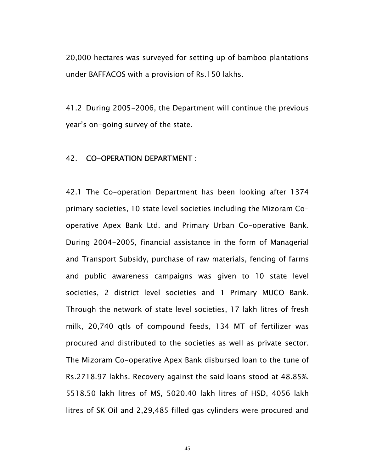20,000 hectares was surveyed for setting up of bamboo plantations under BAFFACOS with a provision of Rs.150 lakhs.

41.2 During 2005-2006, the Department will continue the previous year's on-going survey of the state.

#### 42. CO-OPERATION DEPARTMENT :

42.1 The Co-operation Department has been looking after 1374 primary societies, 10 state level societies including the Mizoram Cooperative Apex Bank Ltd. and Primary Urban Co-operative Bank. During 2004-2005, financial assistance in the form of Managerial and Transport Subsidy, purchase of raw materials, fencing of farms and public awareness campaigns was given to 10 state level societies, 2 district level societies and 1 Primary MUCO Bank. Through the network of state level societies, 17 lakh litres of fresh milk, 20,740 qtls of compound feeds, 134 MT of fertilizer was procured and distributed to the societies as well as private sector. The Mizoram Co-operative Apex Bank disbursed loan to the tune of Rs.2718.97 lakhs. Recovery against the said loans stood at 48.85%. 5518.50 lakh litres of MS, 5020.40 lakh litres of HSD, 4056 lakh litres of SK Oil and 2,29,485 filled gas cylinders were procured and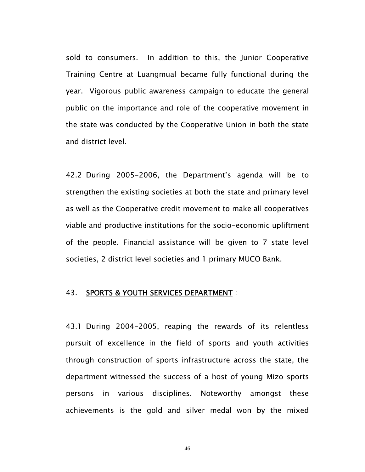sold to consumers. In addition to this, the Junior Cooperative Training Centre at Luangmual became fully functional during the year. Vigorous public awareness campaign to educate the general public on the importance and role of the cooperative movement in the state was conducted by the Cooperative Union in both the state and district level.

42.2 During 2005-2006, the Department's agenda will be to strengthen the existing societies at both the state and primary level as well as the Cooperative credit movement to make all cooperatives viable and productive institutions for the socio-economic upliftment of the people. Financial assistance will be given to 7 state level societies, 2 district level societies and 1 primary MUCO Bank.

#### 43. SPORTS & YOUTH SERVICES DEPARTMENT :

43.1 During 2004-2005, reaping the rewards of its relentless pursuit of excellence in the field of sports and youth activities through construction of sports infrastructure across the state, the department witnessed the success of a host of young Mizo sports persons in various disciplines. Noteworthy amongst these achievements is the gold and silver medal won by the mixed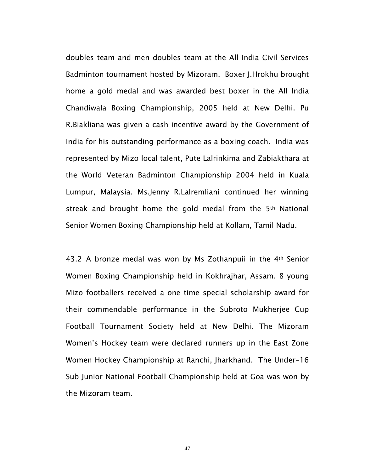doubles team and men doubles team at the All India Civil Services Badminton tournament hosted by Mizoram. Boxer J.Hrokhu brought home a gold medal and was awarded best boxer in the All India Chandiwala Boxing Championship, 2005 held at New Delhi. Pu R.Biakliana was given a cash incentive award by the Government of India for his outstanding performance as a boxing coach. India was represented by Mizo local talent, Pute Lalrinkima and Zabiakthara at the World Veteran Badminton Championship 2004 held in Kuala Lumpur, Malaysia. Ms.Jenny R.Lalremliani continued her winning streak and brought home the gold medal from the 5<sup>th</sup> National Senior Women Boxing Championship held at Kollam, Tamil Nadu.

43.2 A bronze medal was won by Ms Zothanpuii in the 4th Senior Women Boxing Championship held in Kokhrajhar, Assam. 8 young Mizo footballers received a one time special scholarship award for their commendable performance in the Subroto Mukherjee Cup Football Tournament Society held at New Delhi. The Mizoram Women's Hockey team were declared runners up in the East Zone Women Hockey Championship at Ranchi, Jharkhand. The Under-16 Sub Junior National Football Championship held at Goa was won by the Mizoram team.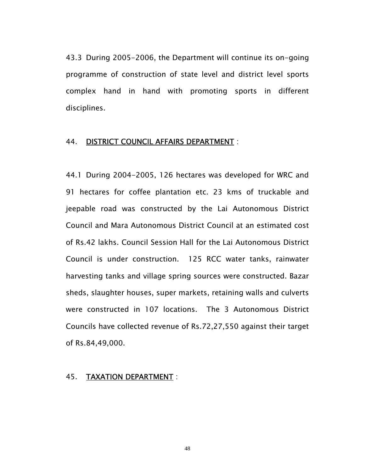43.3 During 2005-2006, the Department will continue its on-going programme of construction of state level and district level sports complex hand in hand with promoting sports in different disciplines.

#### 44. DISTRICT COUNCIL AFFAIRS DEPARTMENT :

44.1 During 2004-2005, 126 hectares was developed for WRC and 91 hectares for coffee plantation etc. 23 kms of truckable and jeepable road was constructed by the Lai Autonomous District Council and Mara Autonomous District Council at an estimated cost of Rs.42 lakhs. Council Session Hall for the Lai Autonomous District Council is under construction. 125 RCC water tanks, rainwater harvesting tanks and village spring sources were constructed. Bazar sheds, slaughter houses, super markets, retaining walls and culverts were constructed in 107 locations. The 3 Autonomous District Councils have collected revenue of Rs.72,27,550 against their target of Rs.84,49,000.

#### 45. TAXATION DEPARTMENT :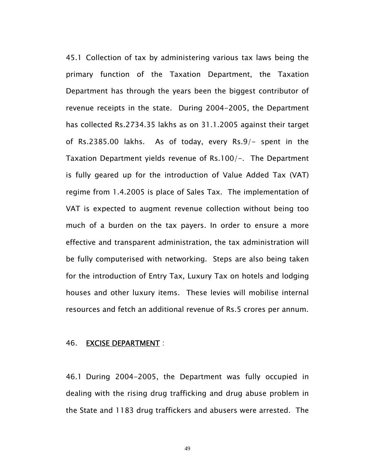45.1 Collection of tax by administering various tax laws being the primary function of the Taxation Department, the Taxation Department has through the years been the biggest contributor of revenue receipts in the state. During 2004-2005, the Department has collected Rs.2734.35 lakhs as on 31.1.2005 against their target of Rs.2385.00 lakhs. As of today, every Rs.9/- spent in the Taxation Department yields revenue of Rs.100/-. The Department is fully geared up for the introduction of Value Added Tax (VAT) regime from 1.4.2005 is place of Sales Tax. The implementation of VAT is expected to augment revenue collection without being too much of a burden on the tax payers. In order to ensure a more effective and transparent administration, the tax administration will be fully computerised with networking. Steps are also being taken for the introduction of Entry Tax, Luxury Tax on hotels and lodging houses and other luxury items. These levies will mobilise internal resources and fetch an additional revenue of Rs.5 crores per annum.

#### 46. EXCISE DEPARTMENT :

46.1 During 2004-2005, the Department was fully occupied in dealing with the rising drug trafficking and drug abuse problem in the State and 1183 drug traffickers and abusers were arrested. The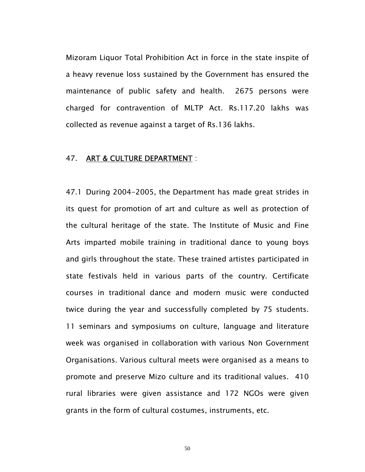Mizoram Liquor Total Prohibition Act in force in the state inspite of a heavy revenue loss sustained by the Government has ensured the maintenance of public safety and health. 2675 persons were charged for contravention of MLTP Act. Rs.117.20 lakhs was collected as revenue against a target of Rs.136 lakhs.

#### 47. ART & CULTURE DEPARTMENT :

47.1 During 2004-2005, the Department has made great strides in its quest for promotion of art and culture as well as protection of the cultural heritage of the state. The Institute of Music and Fine Arts imparted mobile training in traditional dance to young boys and girls throughout the state. These trained artistes participated in state festivals held in various parts of the country. Certificate courses in traditional dance and modern music were conducted twice during the year and successfully completed by 75 students. 11 seminars and symposiums on culture, language and literature week was organised in collaboration with various Non Government Organisations. Various cultural meets were organised as a means to promote and preserve Mizo culture and its traditional values. 410 rural libraries were given assistance and 172 NGOs were given grants in the form of cultural costumes, instruments, etc.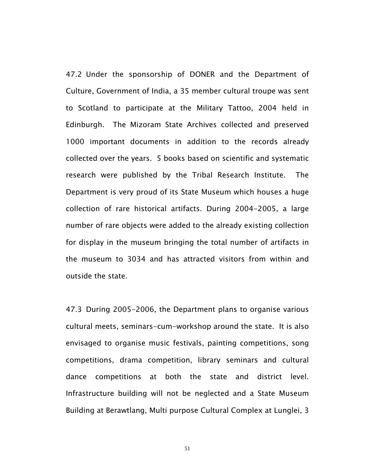47.2 Under the sponsorship of DONER and the Department of Culture, Government of India, a 35 member cultural troupe was sent to Scotland to participate at the Military Tattoo, 2004 held in Edinburgh. The Mizoram State Archives collected and preserved 1000 important documents in addition to the records already collected over the years. 5 books based on scientific and systematic research were published by the Tribal Research Institute. The Department is very proud of its State Museum which houses a huge collection of rare historical artifacts. During 2004-2005, a large number of rare objects were added to the already existing collection for display in the museum bringing the total number of artifacts in the museum to 3034 and has attracted visitors from within and outside the state.

47.3 During 2005-2006, the Department plans to organise various cultural meets, seminars-cum-workshop around the state. It is also envisaged to organise music festivals, painting competitions, song competitions, drama competition, library seminars and cultural dance competitions at both the state and district level. Infrastructure building will not be neglected and a State Museum Building at Berawtlang, Multi purpose Cultural Complex at Lunglei, 3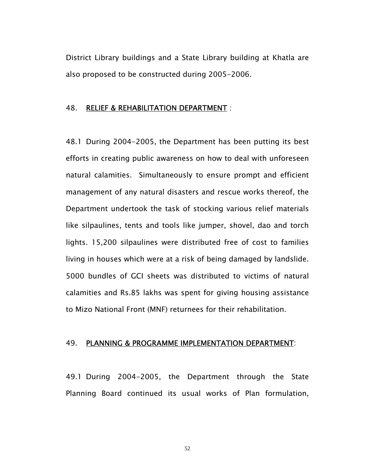District Library buildings and a State Library building at Khatla are also proposed to be constructed during 2005-2006.

#### 48. RELIEF & REHABILITATION DEPARTMENT :

48.1 During 2004-2005, the Department has been putting its best efforts in creating public awareness on how to deal with unforeseen natural calamities. Simultaneously to ensure prompt and efficient management of any natural disasters and rescue works thereof, the Department undertook the task of stocking various relief materials like silpaulines, tents and tools like jumper, shovel, dao and torch lights. 15,200 silpaulines were distributed free of cost to families living in houses which were at a risk of being damaged by landslide. 5000 bundles of GCI sheets was distributed to victims of natural calamities and Rs.85 lakhs was spent for giving housing assistance to Mizo National Front (MNF) returnees for their rehabilitation.

#### 49. PLANNING & PROGRAMME IMPLEMENTATION DEPARTMENT:

49.1 During 2004-2005, the Department through the State Planning Board continued its usual works of Plan formulation,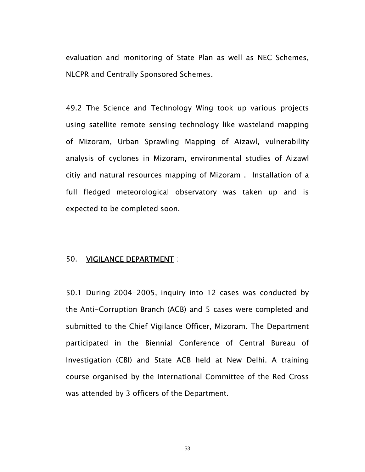evaluation and monitoring of State Plan as well as NEC Schemes, NLCPR and Centrally Sponsored Schemes.

49.2 The Science and Technology Wing took up various projects using satellite remote sensing technology like wasteland mapping of Mizoram, Urban Sprawling Mapping of Aizawl, vulnerability analysis of cyclones in Mizoram, environmental studies of Aizawl citiy and natural resources mapping of Mizoram . Installation of a full fledged meteorological observatory was taken up and is expected to be completed soon.

#### 50. VIGILANCE DEPARTMENT :

50.1 During 2004-2005, inquiry into 12 cases was conducted by the Anti-Corruption Branch (ACB) and 5 cases were completed and submitted to the Chief Vigilance Officer, Mizoram. The Department participated in the Biennial Conference of Central Bureau of Investigation (CBI) and State ACB held at New Delhi. A training course organised by the International Committee of the Red Cross was attended by 3 officers of the Department.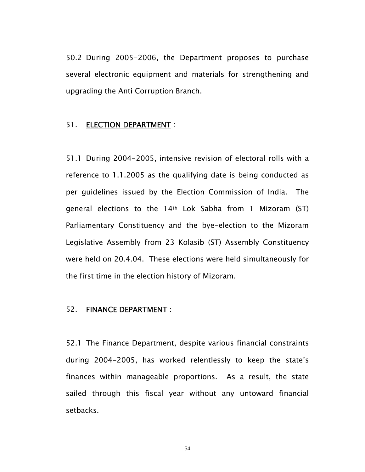50.2 During 2005-2006, the Department proposes to purchase several electronic equipment and materials for strengthening and upgrading the Anti Corruption Branch.

#### 51. ELECTION DEPARTMENT :

51.1 During 2004-2005, intensive revision of electoral rolls with a reference to 1.1.2005 as the qualifying date is being conducted as per guidelines issued by the Election Commission of India. The general elections to the 14th Lok Sabha from 1 Mizoram (ST) Parliamentary Constituency and the bye-election to the Mizoram Legislative Assembly from 23 Kolasib (ST) Assembly Constituency were held on 20.4.04. These elections were held simultaneously for the first time in the election history of Mizoram.

#### 52. FINANCE DEPARTMENT :

52.1 The Finance Department, despite various financial constraints during 2004-2005, has worked relentlessly to keep the state's finances within manageable proportions. As a result, the state sailed through this fiscal year without any untoward financial setbacks.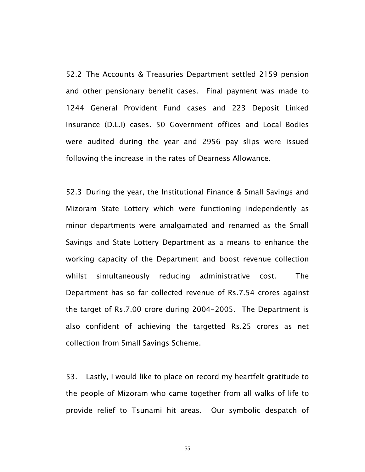52.2 The Accounts & Treasuries Department settled 2159 pension and other pensionary benefit cases. Final payment was made to 1244 General Provident Fund cases and 223 Deposit Linked Insurance (D.L.I) cases. 50 Government offices and Local Bodies were audited during the year and 2956 pay slips were issued following the increase in the rates of Dearness Allowance.

52.3 During the year, the Institutional Finance & Small Savings and Mizoram State Lottery which were functioning independently as minor departments were amalgamated and renamed as the Small Savings and State Lottery Department as a means to enhance the working capacity of the Department and boost revenue collection whilst simultaneously reducing administrative cost. The Department has so far collected revenue of Rs.7.54 crores against the target of Rs.7.00 crore during 2004-2005. The Department is also confident of achieving the targetted Rs.25 crores as net collection from Small Savings Scheme.

53. Lastly, I would like to place on record my heartfelt gratitude to the people of Mizoram who came together from all walks of life to provide relief to Tsunami hit areas. Our symbolic despatch of